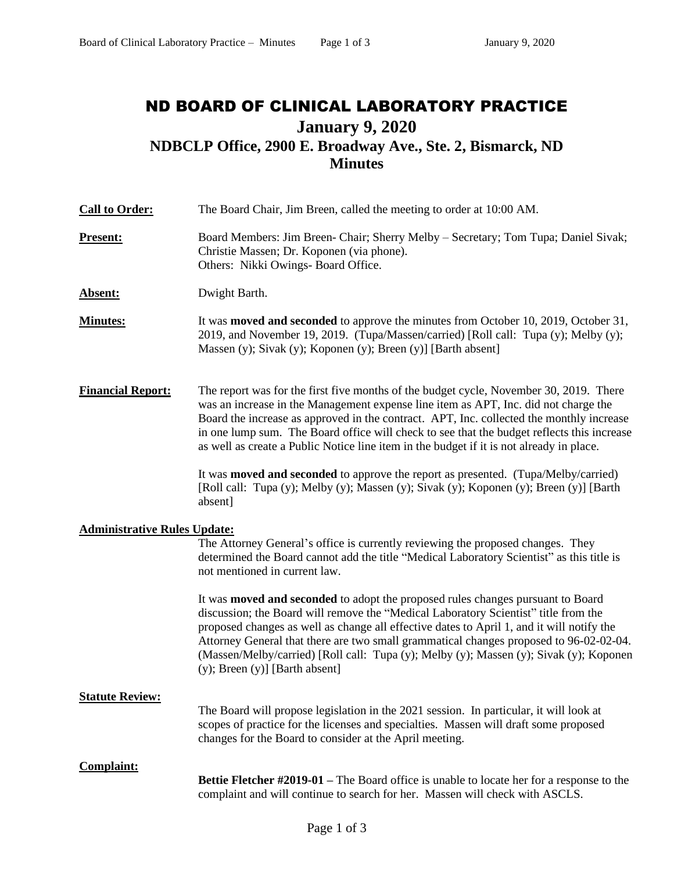# ND BOARD OF CLINICAL LABORATORY PRACTICE **January 9, 2020 NDBCLP Office, 2900 E. Broadway Ave., Ste. 2, Bismarck, ND Minutes**

| <b>Call to Order:</b>               | The Board Chair, Jim Breen, called the meeting to order at 10:00 AM.                                                                                                                                                                                                                                                                                                                                                                                                                            |  |  |
|-------------------------------------|-------------------------------------------------------------------------------------------------------------------------------------------------------------------------------------------------------------------------------------------------------------------------------------------------------------------------------------------------------------------------------------------------------------------------------------------------------------------------------------------------|--|--|
| <b>Present:</b>                     | Board Members: Jim Breen- Chair; Sherry Melby – Secretary; Tom Tupa; Daniel Sivak;<br>Christie Massen; Dr. Koponen (via phone).<br>Others: Nikki Owings- Board Office.                                                                                                                                                                                                                                                                                                                          |  |  |
| Absent:                             | Dwight Barth.                                                                                                                                                                                                                                                                                                                                                                                                                                                                                   |  |  |
| <b>Minutes:</b>                     | It was <b>moved and seconded</b> to approve the minutes from October 10, 2019, October 31,<br>2019, and November 19, 2019. (Tupa/Massen/carried) [Roll call: Tupa (y); Melby (y);<br>Massen (y); Sivak (y); Koponen (y); Breen (y)] [Barth absent]                                                                                                                                                                                                                                              |  |  |
| <b>Financial Report:</b>            | The report was for the first five months of the budget cycle, November 30, 2019. There<br>was an increase in the Management expense line item as APT, Inc. did not charge the<br>Board the increase as approved in the contract. APT, Inc. collected the monthly increase<br>in one lump sum. The Board office will check to see that the budget reflects this increase<br>as well as create a Public Notice line item in the budget if it is not already in place.                             |  |  |
|                                     | It was <b>moved and seconded</b> to approve the report as presented. (Tupa/Melby/carried)<br>[Roll call: Tupa (y); Melby (y); Massen (y); Sivak (y); Koponen (y); Breen (y)] [Barth<br>absent]                                                                                                                                                                                                                                                                                                  |  |  |
| <b>Administrative Rules Update:</b> |                                                                                                                                                                                                                                                                                                                                                                                                                                                                                                 |  |  |
|                                     | The Attorney General's office is currently reviewing the proposed changes. They<br>determined the Board cannot add the title "Medical Laboratory Scientist" as this title is<br>not mentioned in current law.                                                                                                                                                                                                                                                                                   |  |  |
|                                     | It was moved and seconded to adopt the proposed rules changes pursuant to Board<br>discussion; the Board will remove the "Medical Laboratory Scientist" title from the<br>proposed changes as well as change all effective dates to April 1, and it will notify the<br>Attorney General that there are two small grammatical changes proposed to 96-02-02-04.<br>(Massen/Melby/carried) [Roll call: Tupa (y); Melby (y); Massen (y); Sivak (y); Koponen<br>$(y)$ ; Breen $(y)$ ] [Barth absent] |  |  |
| <b>Statute Review:</b>              | The Board will propose legislation in the 2021 session. In particular, it will look at<br>scopes of practice for the licenses and specialties. Massen will draft some proposed<br>changes for the Board to consider at the April meeting.                                                                                                                                                                                                                                                       |  |  |
| <b>Complaint:</b>                   |                                                                                                                                                                                                                                                                                                                                                                                                                                                                                                 |  |  |
|                                     | <b>Bettie Fletcher #2019-01</b> – The Board office is unable to locate her for a response to the<br>complaint and will continue to search for her. Massen will check with ASCLS.                                                                                                                                                                                                                                                                                                                |  |  |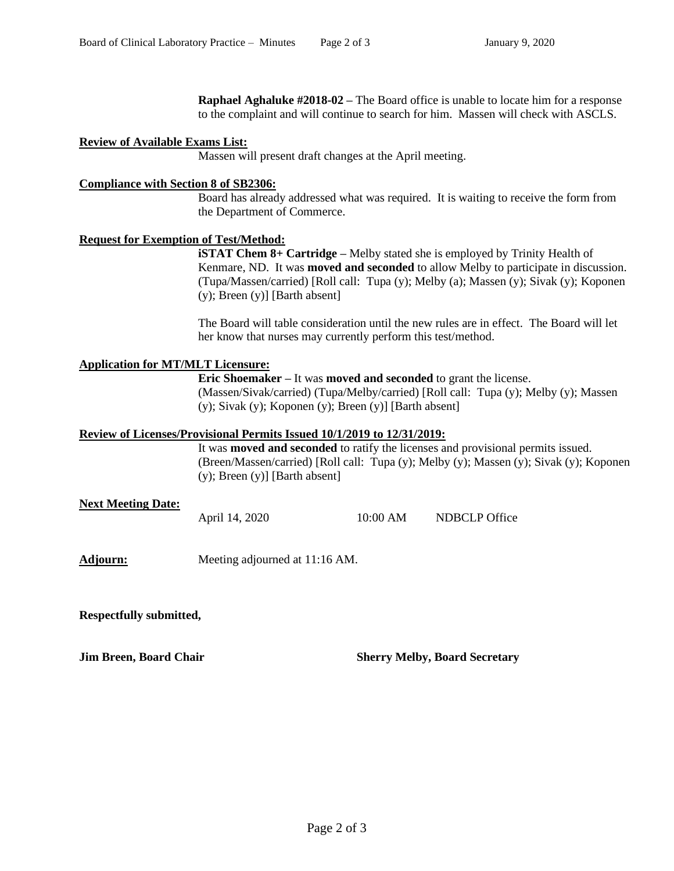**Raphael Aghaluke #2018-02 –** The Board office is unable to locate him for a response to the complaint and will continue to search for him. Massen will check with ASCLS.

#### **Review of Available Exams List:**

Massen will present draft changes at the April meeting.

#### **Compliance with Section 8 of SB2306:**

Board has already addressed what was required. It is waiting to receive the form from the Department of Commerce.

## **Request for Exemption of Test/Method:**

**iSTAT Chem 8+ Cartridge** – Melby stated she is employed by Trinity Health of Kenmare, ND. It was **moved and seconded** to allow Melby to participate in discussion. (Tupa/Massen/carried) [Roll call: Tupa (y); Melby (a); Massen (y); Sivak (y); Koponen (y); Breen (y)] [Barth absent]

The Board will table consideration until the new rules are in effect. The Board will let her know that nurses may currently perform this test/method.

## **Application for MT/MLT Licensure:**

**Eric Shoemaker –** It was **moved and seconded** to grant the license. (Massen/Sivak/carried) (Tupa/Melby/carried) [Roll call: Tupa (y); Melby (y); Massen (y); Sivak (y); Koponen (y); Breen (y)] [Barth absent]

#### **Review of Licenses/Provisional Permits Issued 10/1/2019 to 12/31/2019:**

It was **moved and seconded** to ratify the licenses and provisional permits issued. (Breen/Massen/carried) [Roll call: Tupa (y); Melby (y); Massen (y); Sivak (y); Koponen (y); Breen (y)] [Barth absent]

## **Next Meeting Date:**

April 14, 2020 10:00 AM NDBCLP Office

**Adjourn:** Meeting adjourned at 11:16 AM.

**Respectfully submitted,** 

**Jim Breen, Board Chair Sherry Melby, Board Secretary**